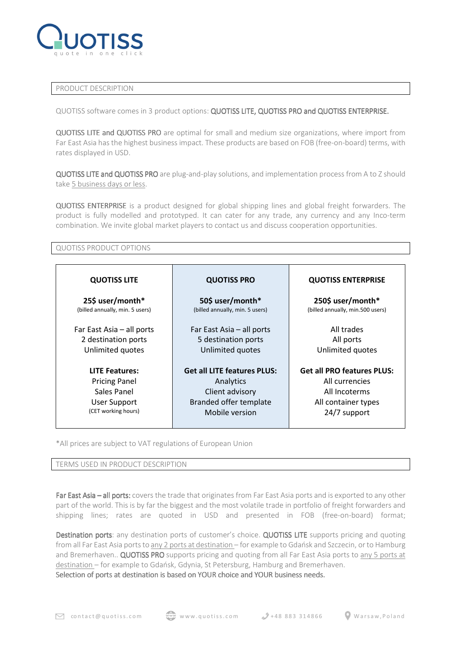

## PRODUCT DESCRIPTION

QUOTISS software comes in 3 product options: QUOTISS LITE, QUOTISS PRO and QUOTISS ENTERPRISE.

QUOTISS LITE and QUOTISS PRO are optimal for small and medium size organizations, where import from Far East Asia has the highest business impact. These products are based on FOB (free-on-board) terms, with rates displayed in USD.

QUOTISS LITE and QUOTISS PRO are plug-and-play solutions, and implementation process from A to Z should take 5 business days or less.

QUOTISS ENTERPRISE is a product designed for global shipping lines and global freight forwarders. The product is fully modelled and prototyped. It can cater for any trade, any currency and any Inco-term combination. We invite global market players to contact us and discuss cooperation opportunities.

## QUOTISS PRODUCT OPTIONS

| <b>QUOTISS LITE</b>             | <b>QUOTISS PRO</b>                 | <b>QUOTISS ENTERPRISE</b>         |
|---------------------------------|------------------------------------|-----------------------------------|
| 25\$ user/month*                | 50\$ user/month*                   | 250\$ user/month*                 |
| (billed annually, min. 5 users) | (billed annually, min. 5 users)    | (billed annually, min.500 users)  |
| Far East Asia - all ports       | Far East Asia - all ports          | All trades                        |
| 2 destination ports             | 5 destination ports                | All ports                         |
| Unlimited quotes                | Unlimited quotes                   | Unlimited quotes                  |
| <b>LITE Features:</b>           | <b>Get all LITE features PLUS:</b> | <b>Get all PRO features PLUS:</b> |
| <b>Pricing Panel</b>            | Analytics                          | All currencies                    |
| Sales Panel                     | Client advisory                    | All Incoterms                     |
| <b>User Support</b>             | Branded offer template             | All container types               |
| (CET working hours)             | Mobile version                     | 24/7 support                      |

\*All prices are subject to VAT regulations of European Union

## TERMS USED IN PRODUCT DESCRIPTION

Far East Asia - all ports: covers the trade that originates from Far East Asia ports and is exported to any other part of the world. This is by far the biggest and the most volatile trade in portfolio of freight forwarders and shipping lines; rates are quoted in USD and presented in FOB (free-on-board) format;

Destination ports: any destination ports of customer's choice. QUOTISS LITE supports pricing and quoting from all Far East Asia ports to any 2 ports at destination – for example to Gdańsk and Szczecin, or to Hamburg and Bremerhaven.. QUOTISS PRO supports pricing and quoting from all Far East Asia ports to any 5 ports at destination – for example to Gdańsk, Gdynia, St Petersburg, Hamburg and Bremerhaven. Selection of ports at destination is based on YOUR choice and YOUR business needs.